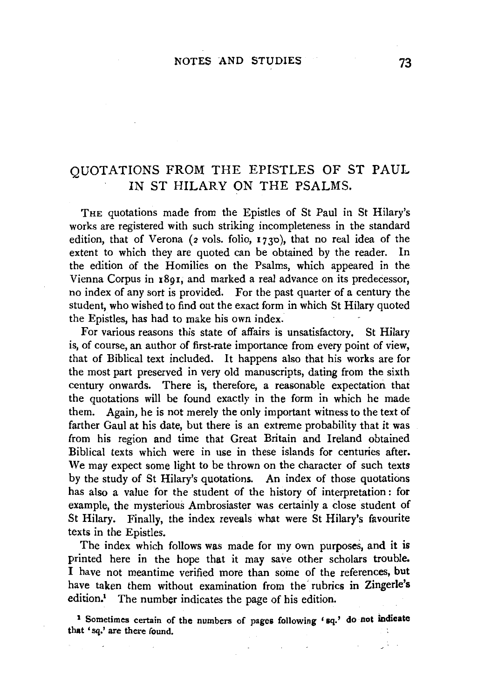### QUOTATIONS FROM THE EPISTLES OF ST PAUL IN ST HILARY ON THE PSALMS.

THE quotations made from the Epistles of St Paul in St Hilary's works are registered with such striking incompleteness in the standard edition, that of Verona ( $2$  vols. folio,  $1730$ ), that no real idea of the extent to which they are quoted can be obtained by the reader. In the edition of the Homilies on the Psalms, which appeared in the Vienna Corpus in x8gx, and marked a real advance on its predecessor, no index of any sort is provided. For the past quarter of a century the student, who wished to find out the exact form in which St Hilary quoted the Epistles, has had to make his own index.

For various reasons this state of affairs is unsatisfactory. St Hilary is, of course, an author of first-rate importance from every point of view, that of Biblical text included. It happens also that his works are for the most part preserved in very old manuscripts, dating from the sixth century onwards. There is, therefore, a reasonable expectation that the quotations will be found exactly in the form in which he made them. Again, he is not merely the only important witness to the text of farther Gaul at his date, but there is an extreme probability that it was from his region and time that Great Britain and Ireland obtained Biblical texts which were in use in these islands for centuries after. We may expect some light to be thrown on the character of such texts by the study of St Hilary's quotations. An index of those quotations has also a value for the student of the history of interpretation : for example, the mysterious Ambrosiaster was certainly a close student of St Hilary. Finally, the index reveals what were St Hilary's favourite texts in the Epistles.

The index which follows was made for my own purposes, and it is printed here in the hope that it may save other scholars trouble. I have not meantime verified more than some of the references, but have taken them without examination from the rubrics in Zingerle's edition.<sup>1</sup> The number indicates the page of his edition.

<sup>1</sup> Sometimes certain of the numbers of pages following ' $sq$ ' do not indicate  $isa$ ' are there found. that 'sq.' are there found.

 $\mathcal{A}^{\mathcal{A}}$  and  $\mathcal{A}^{\mathcal{A}}$  and  $\mathcal{A}^{\mathcal{A}}$ 

 $\sim 10^{-10}$ 

بالألي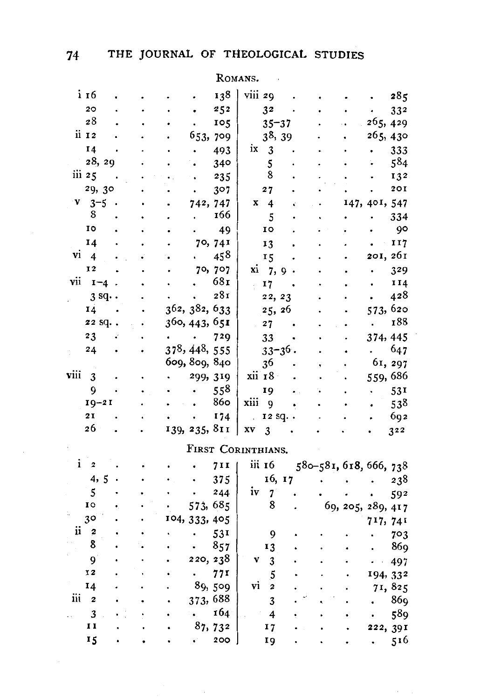|              |                         |  |  |      |               |                 | KOMANS.            |                         |        |                        |                   |               |         |
|--------------|-------------------------|--|--|------|---------------|-----------------|--------------------|-------------------------|--------|------------------------|-------------------|---------------|---------|
|              | і 16                    |  |  |      |               | 138             | viii 29            |                         |        |                        |                   |               | 285     |
|              | 20                      |  |  |      | $\bullet$     | 252             |                    | 3 <sup>2</sup>          |        |                        |                   | ٠             | 332     |
|              | 28                      |  |  |      |               | 105             |                    | $35 - 37$               |        |                        |                   | 265, 429      |         |
|              | $ii$ $12$               |  |  |      | 653, 709      |                 |                    | 38, 39                  |        |                        |                   | 265, 430      |         |
|              | 14                      |  |  |      |               | 493             | ix                 | 3                       |        |                        |                   |               | 333     |
|              | 28, 29                  |  |  |      |               | 340             |                    | 5                       |        |                        |                   |               | 584     |
|              | iii 25                  |  |  |      |               | 235             |                    | 8                       |        |                        |                   |               | 132     |
|              | 29, 30                  |  |  |      |               | 307             |                    | 27                      |        |                        |                   |               | 201     |
| V            | $3 - 5$                 |  |  |      | 742, 747      |                 | X                  | $\overline{\mathbf{4}}$ |        |                        |                   | 147, 401, 547 |         |
|              | 8                       |  |  |      |               | 166             |                    | 5                       |        |                        |                   |               | 334     |
|              | IO                      |  |  |      |               | 49              |                    | 10                      |        |                        |                   |               | 90      |
|              | 14                      |  |  |      |               | 70, 741         |                    | 13                      |        |                        |                   |               | 117     |
| vi           | 4                       |  |  |      |               | 458             |                    | 15                      |        |                        |                   | 201,          | 261     |
|              | I <sub>2</sub>          |  |  |      |               | 70, 707         | xi                 |                         | 7, 9   |                        |                   |               | 329     |
| vii          | $I=4$                   |  |  |      |               | 68I             |                    | 17                      |        |                        |                   |               | 114     |
|              | $3$ sq. $\cdot$         |  |  |      |               | 281             |                    | 22, 23                  |        |                        |                   |               | 428     |
|              | 14                      |  |  |      | 362, 382, 633 |                 |                    | 25, 26                  |        |                        |                   | 573, 620      |         |
|              | 22 sq. .                |  |  |      | 360, 443, 651 |                 |                    | 27                      |        |                        |                   |               | 188     |
|              | 23                      |  |  |      |               | 729             |                    | 33                      |        |                        |                   | 374, 445      |         |
|              | 24                      |  |  |      | 378, 448, 555 |                 |                    | $33 - 36$ .             |        |                        |                   |               | 647     |
|              |                         |  |  |      | 609, 809, 840 |                 |                    | 36                      |        |                        |                   |               | 61, 297 |
| viii         | 3                       |  |  |      | 299, 319      |                 |                    | xii 18                  |        |                        |                   | 559, 686      |         |
|              | 9                       |  |  |      |               | 558             |                    | 19                      |        |                        |                   |               | 531     |
|              | $19 - 21$               |  |  |      |               | 860             | xiii               | - 9                     |        |                        |                   |               | 538     |
|              | 21                      |  |  |      |               | 174             |                    | 12 sq. .                |        |                        |                   |               | 692     |
|              | 26                      |  |  | 139, | 235,          | 8II             | XV                 | 3                       |        |                        |                   |               | 322     |
|              |                         |  |  |      |               |                 | FIRST CORINTHIANS. |                         |        |                        |                   |               |         |
| $\mathbf{i}$ | $\overline{\mathbf{c}}$ |  |  |      |               | 7 I I           |                    | iii 16                  |        | 580-581, 618, 666, 738 |                   |               |         |
|              | 4,<br>5                 |  |  |      |               | 375             |                    |                         | 16, 17 |                        |                   |               | 238     |
|              | 5                       |  |  |      |               | 244             | iv                 | 7                       |        |                        |                   |               | 592     |
|              | IO                      |  |  |      | 573, 685      |                 |                    | 8                       |        |                        | 69, 205, 289, 417 |               |         |
|              | 30                      |  |  |      | 104, 333, 405 |                 |                    |                         |        |                        |                   | 717, 741      |         |
| ii           | 2                       |  |  |      |               | 531             |                    | 9                       |        |                        |                   |               | 703     |
|              | 8                       |  |  |      |               | 857             |                    | 13                      |        |                        |                   |               | 869     |
|              | 9                       |  |  |      | 220, 238      |                 | V                  | 3                       |        |                        |                   |               | 497     |
|              | 12                      |  |  |      |               | 77 <sub>1</sub> |                    | 5                       |        |                        |                   | 194, 332      |         |
|              | 14                      |  |  |      |               | 89, 509         | vi                 | 2                       |        |                        |                   |               | 71, 825 |
| iii          | 2                       |  |  |      | 373, 688      |                 |                    | 3                       |        |                        |                   |               | 869     |
|              | 3                       |  |  |      |               | 164             |                    | 4                       |        |                        |                   |               | 589     |
|              | II                      |  |  |      |               | 87, 732         |                    | 17                      |        |                        |                   | 222, 391      |         |
|              | 15                      |  |  |      |               | 200             |                    | 19                      |        |                        |                   |               | 516     |
|              |                         |  |  |      |               |                 |                    |                         |        |                        |                   |               |         |

 $\alpha = 1$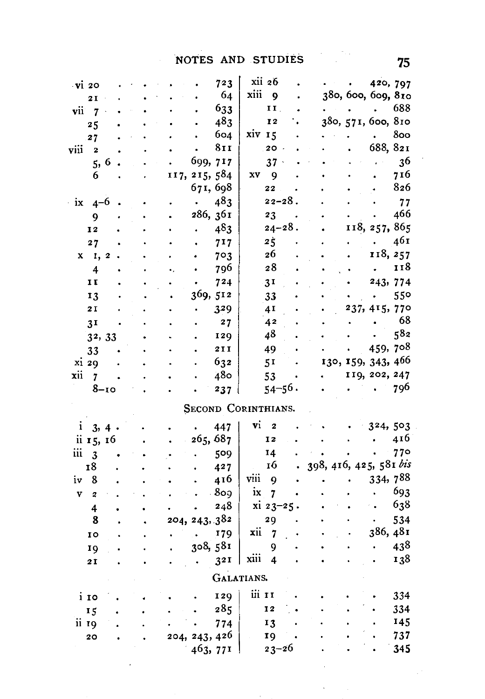# NOTES AND STUDIES

|      | $vi$ 20                 |       |  |  |               | 723                 |        | xii 26                  |        |  |                      |                        | 420, 797      |     |
|------|-------------------------|-------|--|--|---------------|---------------------|--------|-------------------------|--------|--|----------------------|------------------------|---------------|-----|
|      | 2 I                     |       |  |  |               | 64                  | xiii   | 9                       |        |  |                      | 380, 600, 609, 810     |               |     |
| vii  | 7                       |       |  |  |               | 633                 |        | ΙΙ.                     |        |  |                      |                        |               | 688 |
|      | 25                      |       |  |  |               | 483                 |        | I2                      |        |  |                      | 380, 571, 600, 810     |               |     |
|      | 27                      |       |  |  |               | 604                 | xiv 15 |                         |        |  |                      |                        |               | 800 |
| viii | $\overline{\mathbf{2}}$ |       |  |  |               | 811                 |        | 20                      |        |  |                      |                        | 688, 821      |     |
|      | 5,                      | 6     |  |  | 699, 717      |                     |        | 37                      |        |  |                      |                        |               | 36  |
|      | 6                       |       |  |  | 117, 215, 584 |                     | xv     | 9                       |        |  |                      |                        |               | 716 |
|      |                         |       |  |  | 671, 698      |                     |        | 22                      |        |  |                      |                        |               | 826 |
| ix   | $4 - 6$                 |       |  |  | $\bullet$     | 483                 |        | 22–28.                  |        |  |                      |                        |               | 77  |
|      | 9                       |       |  |  | 286, 361      |                     |        | 23                      |        |  |                      |                        |               | 466 |
|      | 12                      |       |  |  |               | 483                 |        |                         | 24–28. |  |                      |                        | 118, 257, 865 |     |
|      | 27                      |       |  |  |               | 717                 |        | 25                      |        |  |                      |                        |               | 461 |
| x    | I, 2                    |       |  |  |               | 703                 |        | 26                      |        |  |                      |                        | 118, 257      |     |
|      | 4                       |       |  |  |               | 796                 |        | 28                      |        |  |                      |                        |               | 118 |
|      | II                      |       |  |  |               | 724                 |        | 3 <sup>T</sup>          |        |  |                      |                        | 243, 774      |     |
|      | 13                      |       |  |  | 369, 512      |                     |        | 33                      |        |  |                      |                        |               | 550 |
|      | 2 I                     |       |  |  |               | 329                 |        | 41                      |        |  |                      |                        | 237, 415, 770 |     |
|      | 3 <sup>I</sup>          |       |  |  |               | 27                  |        | 42                      |        |  |                      |                        |               | 68  |
|      | 32, 33                  |       |  |  |               | 129                 |        | 48                      |        |  |                      |                        |               | 582 |
|      | 33                      |       |  |  |               | 2 I I               |        | 49                      |        |  |                      |                        | 459, 708      |     |
|      | xi 29                   |       |  |  |               | 632                 |        | 5 <sub>I</sub>          |        |  |                      | 130, 159, 343, 466     |               |     |
| xii  | 7                       |       |  |  |               | 480                 |        | 53                      |        |  |                      |                        | 119, 202, 247 |     |
|      |                         | 8–10  |  |  |               | 237                 |        | $54 - 56$ .             |        |  |                      |                        |               | 796 |
|      |                         |       |  |  |               | SECOND CORINTHIANS. |        |                         |        |  |                      |                        |               |     |
|      |                         |       |  |  |               |                     |        |                         |        |  |                      |                        |               |     |
| i    |                         | 3, 4. |  |  |               | 447                 | vi     | $\overline{\mathbf{z}}$ |        |  |                      |                        | 324, 503      |     |
|      | ii 15, 16               |       |  |  | 265, 687      |                     |        | 12                      |        |  |                      |                        |               | 416 |
| iii  | 3                       |       |  |  |               | 509                 |        | 14                      |        |  |                      |                        |               | 770 |
|      | 18                      |       |  |  |               | 427                 |        | 16                      |        |  |                      | 398, 416, 425, 581 bis |               |     |
| iv   | 8                       |       |  |  |               | 416                 | viii   | 9                       |        |  | $\ddot{\phantom{0}}$ |                        | 334, 788      |     |
| V    | $\overline{2}$          |       |  |  |               | 809                 | ix     | 7                       |        |  |                      |                        |               | 693 |
|      | 4                       |       |  |  |               | 248                 |        | xi 23-25.               |        |  |                      |                        |               | 638 |
|      | 8                       |       |  |  | 204, 243, 382 |                     |        | 29                      |        |  |                      |                        |               | 534 |
|      | 10                      |       |  |  |               | 179                 | xii    | 7                       |        |  |                      |                        | 386, 481      |     |
|      | 19                      |       |  |  | 308, 581      |                     |        | 9                       |        |  |                      |                        |               | 438 |
|      | 21                      |       |  |  |               | 321                 | xiii   | 4                       |        |  |                      |                        |               | 138 |
|      |                         |       |  |  |               | GALATIANS.          |        |                         |        |  |                      |                        |               |     |
|      | i 10                    |       |  |  |               | 129                 | iii 11 |                         |        |  |                      |                        |               | 334 |
|      | 15                      |       |  |  |               | 285                 |        | 12                      |        |  |                      |                        |               | 334 |
|      | ii 19                   |       |  |  |               | 774                 |        | 13                      |        |  |                      |                        |               | 145 |
|      | 20                      |       |  |  | 204, 243, 426 |                     |        | 19                      |        |  |                      |                        |               | 737 |
|      |                         |       |  |  | 463, 771      |                     |        | $23 - 26$               |        |  |                      |                        |               | 345 |
|      |                         |       |  |  |               |                     |        |                         |        |  |                      |                        |               |     |

 $\bar{\phantom{a}}$ 

ł,

75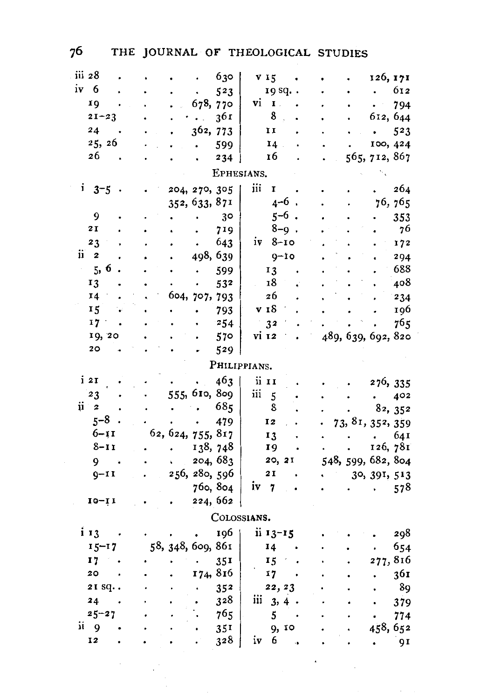|     | iii 28                |           |  |                      |                   | 630           |     | v <sub>15</sub>                  |           |  | 126, 171           |         |
|-----|-----------------------|-----------|--|----------------------|-------------------|---------------|-----|----------------------------------|-----------|--|--------------------|---------|
|     | iv 6                  |           |  |                      |                   | 523           |     | 19 sq                            |           |  |                    | 612     |
|     | 19                    |           |  |                      | 678, 770          |               | vi  | Ι.                               |           |  |                    | 794     |
|     | $21 - 23$             |           |  |                      |                   | 361           |     | 8                                |           |  | 612, 644           |         |
|     | 24                    |           |  |                      | 362, 773          |               |     | IJ                               |           |  |                    | 523     |
|     | 25, 26                |           |  |                      |                   | 599           |     | $14$ .                           |           |  | 100, 424           |         |
|     | 26                    |           |  |                      |                   | 234           |     | 16                               |           |  | 565, 712, 867      |         |
|     |                       |           |  |                      |                   | EPHESIANS.    |     |                                  |           |  |                    |         |
|     | $13 - 5$              | $\bullet$ |  |                      | 204, 270, 305     |               | iii | $\mathbf{I}$                     |           |  |                    | 264     |
|     |                       |           |  |                      | 352, 633, 871     |               |     |                                  | $4 - 6$ . |  |                    | 76, 765 |
|     | 9                     |           |  |                      |                   | 30            |     |                                  | $5 - 6$ . |  |                    | 353     |
|     | 2 I                   |           |  |                      |                   | 719           |     |                                  | $8 - 9$ . |  |                    | 76      |
|     | 23                    |           |  |                      |                   | 643           | iv  | $8 - 10$                         |           |  |                    | 172     |
| ii. | 2                     |           |  |                      | 498, 639          |               |     | $9 - 10$                         |           |  |                    | 294     |
|     | 5, 6                  |           |  |                      |                   | 599           |     | 13                               |           |  |                    | 688     |
|     | 13                    |           |  |                      |                   | 532           |     | 18                               |           |  |                    | 408     |
|     | 14                    |           |  |                      | 604, 707, 793     |               |     | 26                               |           |  |                    |         |
|     | 15                    |           |  |                      |                   |               |     | $v_1 \delta$                     |           |  |                    | 234     |
|     | 17                    |           |  |                      |                   | 793           |     |                                  |           |  |                    | 196     |
|     |                       |           |  |                      |                   | 254           |     | 3 <sup>2</sup>                   |           |  |                    | 765     |
|     |                       | 19, 20    |  |                      |                   | 570           |     | vi 12                            |           |  | 489, 639, 692, 820 |         |
|     | 20                    |           |  |                      |                   | 529           |     |                                  |           |  |                    |         |
|     |                       |           |  |                      |                   | PHILIPPIANS.  |     |                                  |           |  |                    |         |
|     | i 21                  |           |  |                      |                   | 463           |     | $\ddot{\mathbf{i}}$ $\mathbf{I}$ |           |  | 276, 335           |         |
|     | 23                    |           |  |                      | 555, 610, 809     |               | iii | 5                                |           |  |                    | 402     |
|     | $\ddot{\mathbf{i}}$ 2 |           |  | $\ddot{\phantom{0}}$ |                   | 685           |     | 8                                |           |  |                    | 82, 352 |
|     |                       | $5 - 8$   |  |                      |                   | 479           |     | I 2                              |           |  | 73, 81, 352, 359   |         |
|     |                       | $6 - i1$  |  |                      | 62, 624, 755, 817 |               |     | 13                               |           |  | $\cdot$ $\cdot$    | 641     |
|     |                       | 8-11      |  |                      |                   | 138, 748      |     | 19                               |           |  | 126, 781           |         |
|     | 9                     |           |  |                      | 204, 683          |               |     | 20, 21                           |           |  | 548, 599, 682, 804 |         |
|     |                       | $9 - I I$ |  |                      |                   | 256, 280, 596 |     | 21                               |           |  | 30, 391, 513       |         |
|     |                       |           |  |                      |                   | 760, 804      | iv  | - 7                              |           |  | $\bullet$          | 578     |
|     |                       | 10-11     |  |                      | 224, 662          |               |     |                                  |           |  |                    |         |
|     |                       |           |  |                      |                   | COLOSSIANS.   |     |                                  |           |  |                    |         |
|     | i 13                  |           |  |                      | $\bullet$         | 196           |     | ii 13-15                         |           |  |                    | 298     |
|     | $15 - 17$             |           |  |                      | 58, 348, 609, 861 |               |     | 14                               |           |  |                    | 654     |
|     | 17                    |           |  |                      |                   | 35I           |     | 15                               |           |  | 277, 816           |         |
|     | 20                    |           |  |                      |                   | 174, 816      |     | 17                               |           |  |                    | 361     |
|     |                       | 21 sq.,   |  |                      |                   | 352           |     | 22, 23                           |           |  |                    | 89      |
|     | 24                    |           |  |                      |                   | 328           | iii |                                  | 3, 4.     |  |                    | 379     |
|     | $25 - 27$             |           |  |                      |                   | 765           |     | 5                                |           |  |                    | 774     |
|     | ii 9                  |           |  |                      |                   | 351           |     | 9, 10                            |           |  | 458, 652           |         |
|     | I <sub>2</sub>        |           |  |                      |                   | 328           | iv  | 6                                |           |  |                    | QI      |
|     |                       |           |  |                      |                   |               |     |                                  |           |  | ٠                  |         |

 $\mathbb{R}^3$ 

÷

à.

 $\cdot$ 

## 76 THE JOURNAL OF THEOLOGICAL STUDIES